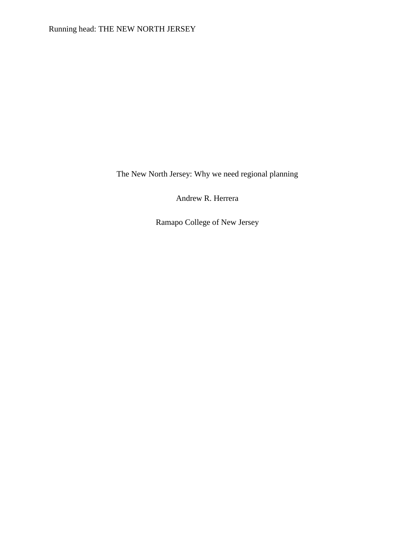Running head: THE NEW NORTH JERSEY

The New North Jersey: Why we need regional planning

Andrew R. Herrera

Ramapo College of New Jersey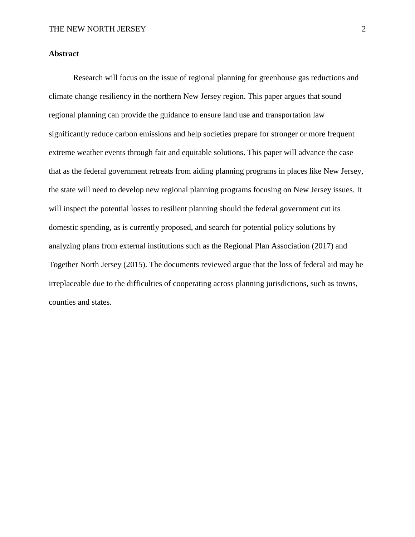# **Abstract**

Research will focus on the issue of regional planning for greenhouse gas reductions and climate change resiliency in the northern New Jersey region. This paper argues that sound regional planning can provide the guidance to ensure land use and transportation law significantly reduce carbon emissions and help societies prepare for stronger or more frequent extreme weather events through fair and equitable solutions. This paper will advance the case that as the federal government retreats from aiding planning programs in places like New Jersey, the state will need to develop new regional planning programs focusing on New Jersey issues. It will inspect the potential losses to resilient planning should the federal government cut its domestic spending, as is currently proposed, and search for potential policy solutions by analyzing plans from external institutions such as the Regional Plan Association (2017) and Together North Jersey (2015). The documents reviewed argue that the loss of federal aid may be irreplaceable due to the difficulties of cooperating across planning jurisdictions, such as towns, counties and states.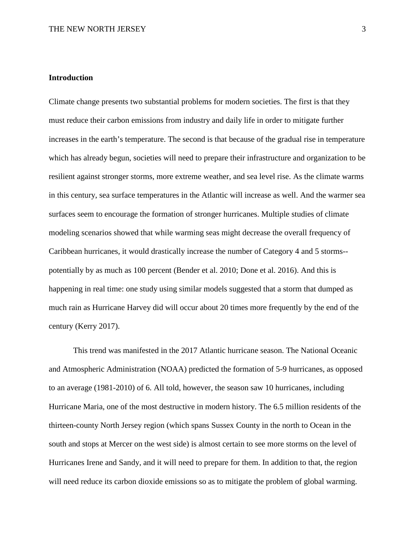# **Introduction**

Climate change presents two substantial problems for modern societies. The first is that they must reduce their carbon emissions from industry and daily life in order to mitigate further increases in the earth's temperature. The second is that because of the gradual rise in temperature which has already begun, societies will need to prepare their infrastructure and organization to be resilient against stronger storms, more extreme weather, and sea level rise. As the climate warms in this century, sea surface temperatures in the Atlantic will increase as well. And the warmer sea surfaces seem to encourage the formation of stronger hurricanes. Multiple studies of climate modeling scenarios showed that while warming seas might decrease the overall frequency of Caribbean hurricanes, it would drastically increase the number of Category 4 and 5 storms- potentially by as much as 100 percent (Bender et al. 2010; Done et al. 2016). And this is happening in real time: one study using similar models suggested that a storm that dumped as much rain as Hurricane Harvey did will occur about 20 times more frequently by the end of the century (Kerry 2017).

This trend was manifested in the 2017 Atlantic hurricane season. The National Oceanic and Atmospheric Administration (NOAA) predicted the formation of 5-9 hurricanes, as opposed to an average (1981-2010) of 6. All told, however, the season saw 10 hurricanes, including Hurricane Maria, one of the most destructive in modern history. The 6.5 million residents of the thirteen-county North Jersey region (which spans Sussex County in the north to Ocean in the south and stops at Mercer on the west side) is almost certain to see more storms on the level of Hurricanes Irene and Sandy, and it will need to prepare for them. In addition to that, the region will need reduce its carbon dioxide emissions so as to mitigate the problem of global warming.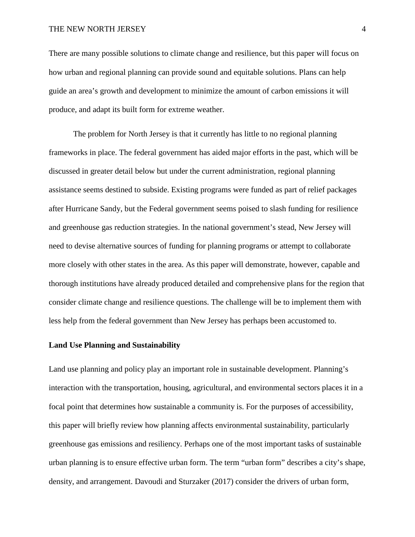There are many possible solutions to climate change and resilience, but this paper will focus on how urban and regional planning can provide sound and equitable solutions. Plans can help guide an area's growth and development to minimize the amount of carbon emissions it will produce, and adapt its built form for extreme weather.

The problem for North Jersey is that it currently has little to no regional planning frameworks in place. The federal government has aided major efforts in the past, which will be discussed in greater detail below but under the current administration, regional planning assistance seems destined to subside. Existing programs were funded as part of relief packages after Hurricane Sandy, but the Federal government seems poised to slash funding for resilience and greenhouse gas reduction strategies. In the national government's stead, New Jersey will need to devise alternative sources of funding for planning programs or attempt to collaborate more closely with other states in the area. As this paper will demonstrate, however, capable and thorough institutions have already produced detailed and comprehensive plans for the region that consider climate change and resilience questions. The challenge will be to implement them with less help from the federal government than New Jersey has perhaps been accustomed to.

### **Land Use Planning and Sustainability**

Land use planning and policy play an important role in sustainable development. Planning's interaction with the transportation, housing, agricultural, and environmental sectors places it in a focal point that determines how sustainable a community is. For the purposes of accessibility, this paper will briefly review how planning affects environmental sustainability, particularly greenhouse gas emissions and resiliency. Perhaps one of the most important tasks of sustainable urban planning is to ensure effective urban form. The term "urban form" describes a city's shape, density, and arrangement. Davoudi and Sturzaker (2017) consider the drivers of urban form,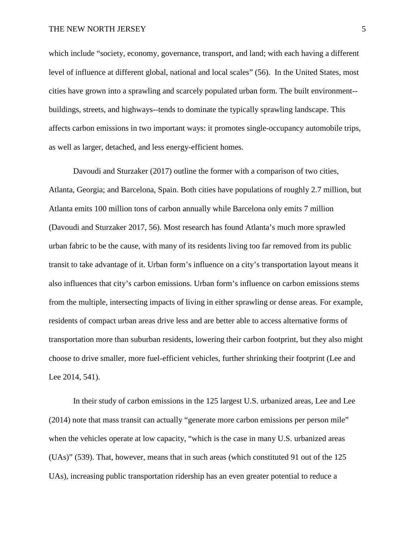which include "society, economy, governance, transport, and land; with each having a different level of influence at different global, national and local scales" (56). In the United States, most cities have grown into a sprawling and scarcely populated urban form. The built environment- buildings, streets, and highways--tends to dominate the typically sprawling landscape. This affects carbon emissions in two important ways: it promotes single-occupancy automobile trips, as well as larger, detached, and less energy-efficient homes.

Davoudi and Sturzaker (2017) outline the former with a comparison of two cities, Atlanta, Georgia; and Barcelona, Spain. Both cities have populations of roughly 2.7 million, but Atlanta emits 100 million tons of carbon annually while Barcelona only emits 7 million (Davoudi and Sturzaker 2017, 56). Most research has found Atlanta's much more sprawled urban fabric to be the cause, with many of its residents living too far removed from its public transit to take advantage of it. Urban form's influence on a city's transportation layout means it also influences that city's carbon emissions. Urban form's influence on carbon emissions stems from the multiple, intersecting impacts of living in either sprawling or dense areas. For example, residents of compact urban areas drive less and are better able to access alternative forms of transportation more than suburban residents, lowering their carbon footprint, but they also might choose to drive smaller, more fuel-efficient vehicles, further shrinking their footprint (Lee and Lee 2014, 541).

In their study of carbon emissions in the 125 largest U.S. urbanized areas, Lee and Lee (2014) note that mass transit can actually "generate more carbon emissions per person mile" when the vehicles operate at low capacity, "which is the case in many U.S. urbanized areas (UAs)" (539). That, however, means that in such areas (which constituted 91 out of the 125 UAs), increasing public transportation ridership has an even greater potential to reduce a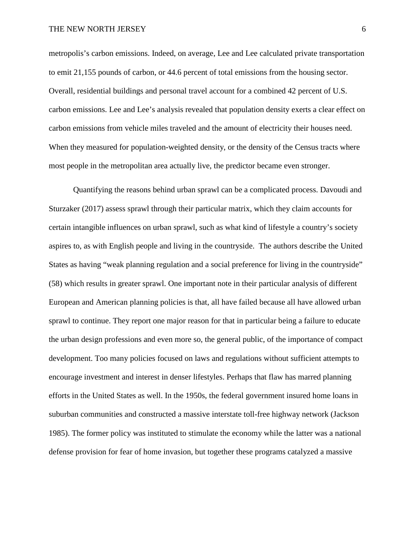metropolis's carbon emissions. Indeed, on average, Lee and Lee calculated private transportation to emit 21,155 pounds of carbon, or 44.6 percent of total emissions from the housing sector. Overall, residential buildings and personal travel account for a combined 42 percent of U.S. carbon emissions. Lee and Lee's analysis revealed that population density exerts a clear effect on carbon emissions from vehicle miles traveled and the amount of electricity their houses need. When they measured for population-weighted density, or the density of the Census tracts where most people in the metropolitan area actually live, the predictor became even stronger.

Quantifying the reasons behind urban sprawl can be a complicated process. Davoudi and Sturzaker (2017) assess sprawl through their particular matrix, which they claim accounts for certain intangible influences on urban sprawl, such as what kind of lifestyle a country's society aspires to, as with English people and living in the countryside. The authors describe the United States as having "weak planning regulation and a social preference for living in the countryside" (58) which results in greater sprawl. One important note in their particular analysis of different European and American planning policies is that, all have failed because all have allowed urban sprawl to continue. They report one major reason for that in particular being a failure to educate the urban design professions and even more so, the general public, of the importance of compact development. Too many policies focused on laws and regulations without sufficient attempts to encourage investment and interest in denser lifestyles. Perhaps that flaw has marred planning efforts in the United States as well. In the 1950s, the federal government insured home loans in suburban communities and constructed a massive interstate toll-free highway network (Jackson 1985). The former policy was instituted to stimulate the economy while the latter was a national defense provision for fear of home invasion, but together these programs catalyzed a massive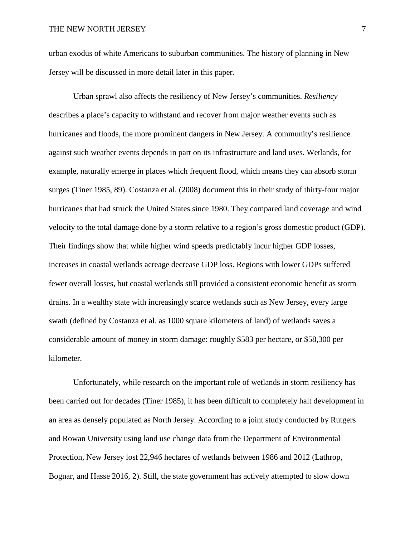urban exodus of white Americans to suburban communities. The history of planning in New Jersey will be discussed in more detail later in this paper.

Urban sprawl also affects the resiliency of New Jersey's communities. *Resiliency* describes a place's capacity to withstand and recover from major weather events such as hurricanes and floods, the more prominent dangers in New Jersey. A community's resilience against such weather events depends in part on its infrastructure and land uses. Wetlands, for example, naturally emerge in places which frequent flood, which means they can absorb storm surges (Tiner 1985, 89). Costanza et al. (2008) document this in their study of thirty-four major hurricanes that had struck the United States since 1980. They compared land coverage and wind velocity to the total damage done by a storm relative to a region's gross domestic product (GDP). Their findings show that while higher wind speeds predictably incur higher GDP losses, increases in coastal wetlands acreage decrease GDP loss. Regions with lower GDPs suffered fewer overall losses, but coastal wetlands still provided a consistent economic benefit as storm drains. In a wealthy state with increasingly scarce wetlands such as New Jersey, every large swath (defined by Costanza et al. as 1000 square kilometers of land) of wetlands saves a considerable amount of money in storm damage: roughly \$583 per hectare, or \$58,300 per kilometer.

Unfortunately, while research on the important role of wetlands in storm resiliency has been carried out for decades (Tiner 1985), it has been difficult to completely halt development in an area as densely populated as North Jersey. According to a joint study conducted by Rutgers and Rowan University using land use change data from the Department of Environmental Protection, New Jersey lost 22,946 hectares of wetlands between 1986 and 2012 (Lathrop, Bognar, and Hasse 2016, 2). Still, the state government has actively attempted to slow down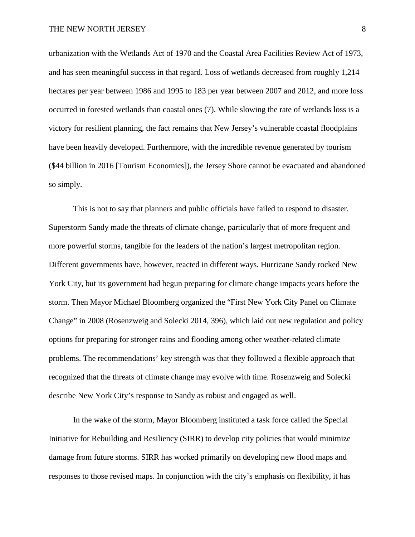urbanization with the Wetlands Act of 1970 and the Coastal Area Facilities Review Act of 1973, and has seen meaningful success in that regard. Loss of wetlands decreased from roughly 1,214 hectares per year between 1986 and 1995 to 183 per year between 2007 and 2012, and more loss occurred in forested wetlands than coastal ones (7). While slowing the rate of wetlands loss is a victory for resilient planning, the fact remains that New Jersey's vulnerable coastal floodplains have been heavily developed. Furthermore, with the incredible revenue generated by tourism (\$44 billion in 2016 [Tourism Economics]), the Jersey Shore cannot be evacuated and abandoned so simply.

This is not to say that planners and public officials have failed to respond to disaster. Superstorm Sandy made the threats of climate change, particularly that of more frequent and more powerful storms, tangible for the leaders of the nation's largest metropolitan region. Different governments have, however, reacted in different ways. Hurricane Sandy rocked New York City, but its government had begun preparing for climate change impacts years before the storm. Then Mayor Michael Bloomberg organized the "First New York City Panel on Climate Change" in 2008 (Rosenzweig and Solecki 2014, 396), which laid out new regulation and policy options for preparing for stronger rains and flooding among other weather-related climate problems. The recommendations' key strength was that they followed a flexible approach that recognized that the threats of climate change may evolve with time. Rosenzweig and Solecki describe New York City's response to Sandy as robust and engaged as well.

In the wake of the storm, Mayor Bloomberg instituted a task force called the Special Initiative for Rebuilding and Resiliency (SIRR) to develop city policies that would minimize damage from future storms. SIRR has worked primarily on developing new flood maps and responses to those revised maps. In conjunction with the city's emphasis on flexibility, it has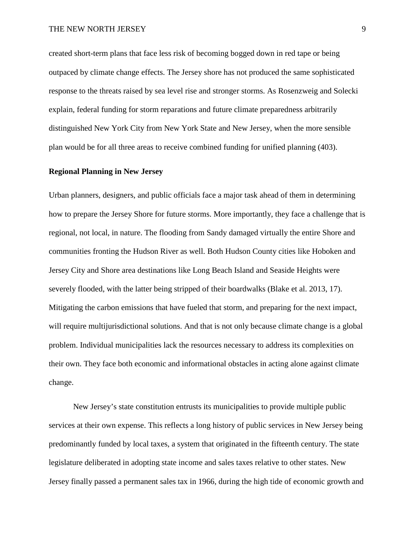created short-term plans that face less risk of becoming bogged down in red tape or being outpaced by climate change effects. The Jersey shore has not produced the same sophisticated response to the threats raised by sea level rise and stronger storms. As Rosenzweig and Solecki explain, federal funding for storm reparations and future climate preparedness arbitrarily distinguished New York City from New York State and New Jersey, when the more sensible plan would be for all three areas to receive combined funding for unified planning (403).

# **Regional Planning in New Jersey**

Urban planners, designers, and public officials face a major task ahead of them in determining how to prepare the Jersey Shore for future storms. More importantly, they face a challenge that is regional, not local, in nature. The flooding from Sandy damaged virtually the entire Shore and communities fronting the Hudson River as well. Both Hudson County cities like Hoboken and Jersey City and Shore area destinations like Long Beach Island and Seaside Heights were severely flooded, with the latter being stripped of their boardwalks (Blake et al. 2013, 17). Mitigating the carbon emissions that have fueled that storm, and preparing for the next impact, will require multijurisdictional solutions. And that is not only because climate change is a global problem. Individual municipalities lack the resources necessary to address its complexities on their own. They face both economic and informational obstacles in acting alone against climate change.

New Jersey's state constitution entrusts its municipalities to provide multiple public services at their own expense. This reflects a long history of public services in New Jersey being predominantly funded by local taxes, a system that originated in the fifteenth century. The state legislature deliberated in adopting state income and sales taxes relative to other states. New Jersey finally passed a permanent sales tax in 1966, during the high tide of economic growth and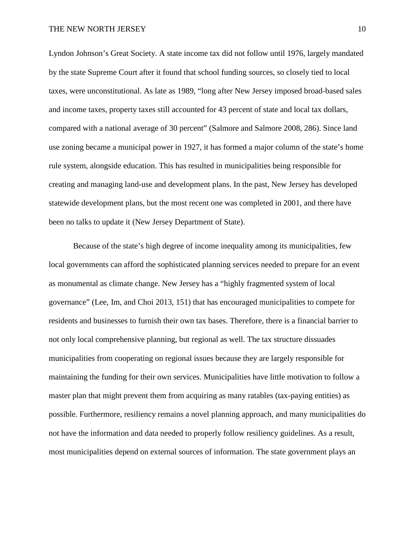Lyndon Johnson's Great Society. A state income tax did not follow until 1976, largely mandated by the state Supreme Court after it found that school funding sources, so closely tied to local taxes, were unconstitutional. As late as 1989, "long after New Jersey imposed broad-based sales and income taxes, property taxes still accounted for 43 percent of state and local tax dollars, compared with a national average of 30 percent" (Salmore and Salmore 2008, 286). Since land use zoning became a municipal power in 1927, it has formed a major column of the state's home rule system, alongside education. This has resulted in municipalities being responsible for creating and managing land-use and development plans. In the past, New Jersey has developed statewide development plans, but the most recent one was completed in 2001, and there have been no talks to update it (New Jersey Department of State).

Because of the state's high degree of income inequality among its municipalities, few local governments can afford the sophisticated planning services needed to prepare for an event as monumental as climate change. New Jersey has a "highly fragmented system of local governance" (Lee, Im, and Choi 2013, 151) that has encouraged municipalities to compete for residents and businesses to furnish their own tax bases. Therefore, there is a financial barrier to not only local comprehensive planning, but regional as well. The tax structure dissuades municipalities from cooperating on regional issues because they are largely responsible for maintaining the funding for their own services. Municipalities have little motivation to follow a master plan that might prevent them from acquiring as many ratables (tax-paying entities) as possible. Furthermore, resiliency remains a novel planning approach, and many municipalities do not have the information and data needed to properly follow resiliency guidelines. As a result, most municipalities depend on external sources of information. The state government plays an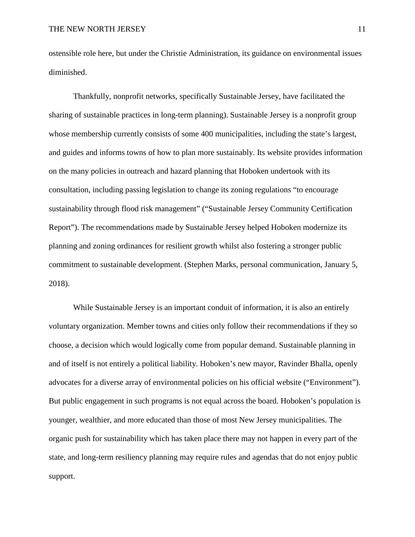ostensible role here, but under the Christie Administration, its guidance on environmental issues diminished.

Thankfully, nonprofit networks, specifically Sustainable Jersey, have facilitated the sharing of sustainable practices in long-term planning). Sustainable Jersey is a nonprofit group whose membership currently consists of some 400 municipalities, including the state's largest, and guides and informs towns of how to plan more sustainably. Its website provides information on the many policies in outreach and hazard planning that Hoboken undertook with its consultation, including passing legislation to change its zoning regulations "to encourage sustainability through flood risk management" ("Sustainable Jersey Community Certification Report"). The recommendations made by Sustainable Jersey helped Hoboken modernize its planning and zoning ordinances for resilient growth whilst also fostering a stronger public commitment to sustainable development. (Stephen Marks, personal communication, January 5, 2018).

While Sustainable Jersey is an important conduit of information, it is also an entirely voluntary organization. Member towns and cities only follow their recommendations if they so choose, a decision which would logically come from popular demand. Sustainable planning in and of itself is not entirely a political liability. Hoboken's new mayor, Ravinder Bhalla, openly advocates for a diverse array of environmental policies on his official website ("Environment"). But public engagement in such programs is not equal across the board. Hoboken's population is younger, wealthier, and more educated than those of most New Jersey municipalities. The organic push for sustainability which has taken place there may not happen in every part of the state, and long-term resiliency planning may require rules and agendas that do not enjoy public support.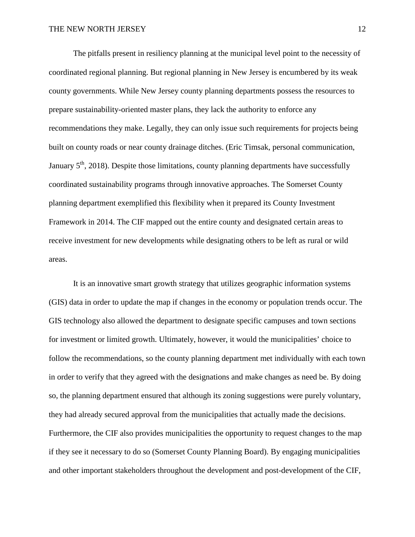The pitfalls present in resiliency planning at the municipal level point to the necessity of coordinated regional planning. But regional planning in New Jersey is encumbered by its weak county governments. While New Jersey county planning departments possess the resources to prepare sustainability-oriented master plans, they lack the authority to enforce any recommendations they make. Legally, they can only issue such requirements for projects being built on county roads or near county drainage ditches. (Eric Timsak, personal communication, January  $5<sup>th</sup>$ , 2018). Despite those limitations, county planning departments have successfully coordinated sustainability programs through innovative approaches. The Somerset County planning department exemplified this flexibility when it prepared its County Investment Framework in 2014. The CIF mapped out the entire county and designated certain areas to receive investment for new developments while designating others to be left as rural or wild areas.

It is an innovative smart growth strategy that utilizes geographic information systems (GIS) data in order to update the map if changes in the economy or population trends occur. The GIS technology also allowed the department to designate specific campuses and town sections for investment or limited growth. Ultimately, however, it would the municipalities' choice to follow the recommendations, so the county planning department met individually with each town in order to verify that they agreed with the designations and make changes as need be. By doing so, the planning department ensured that although its zoning suggestions were purely voluntary, they had already secured approval from the municipalities that actually made the decisions. Furthermore, the CIF also provides municipalities the opportunity to request changes to the map if they see it necessary to do so (Somerset County Planning Board). By engaging municipalities and other important stakeholders throughout the development and post-development of the CIF,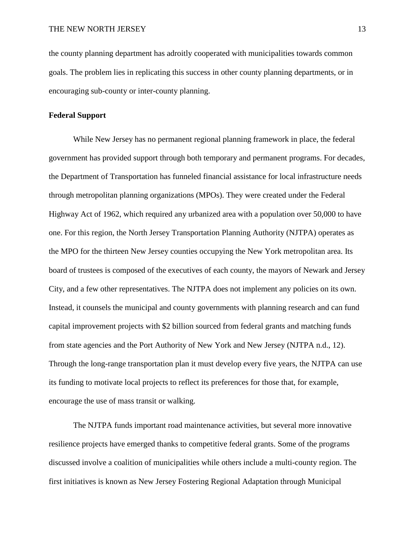the county planning department has adroitly cooperated with municipalities towards common goals. The problem lies in replicating this success in other county planning departments, or in encouraging sub-county or inter-county planning.

### **Federal Support**

While New Jersey has no permanent regional planning framework in place, the federal government has provided support through both temporary and permanent programs. For decades, the Department of Transportation has funneled financial assistance for local infrastructure needs through metropolitan planning organizations (MPOs). They were created under the Federal Highway Act of 1962, which required any urbanized area with a population over 50,000 to have one. For this region, the North Jersey Transportation Planning Authority (NJTPA) operates as the MPO for the thirteen New Jersey counties occupying the New York metropolitan area. Its board of trustees is composed of the executives of each county, the mayors of Newark and Jersey City, and a few other representatives. The NJTPA does not implement any policies on its own. Instead, it counsels the municipal and county governments with planning research and can fund capital improvement projects with \$2 billion sourced from federal grants and matching funds from state agencies and the Port Authority of New York and New Jersey (NJTPA n.d., 12). Through the long-range transportation plan it must develop every five years, the NJTPA can use its funding to motivate local projects to reflect its preferences for those that, for example, encourage the use of mass transit or walking.

The NJTPA funds important road maintenance activities, but several more innovative resilience projects have emerged thanks to competitive federal grants. Some of the programs discussed involve a coalition of municipalities while others include a multi-county region. The first initiatives is known as New Jersey Fostering Regional Adaptation through Municipal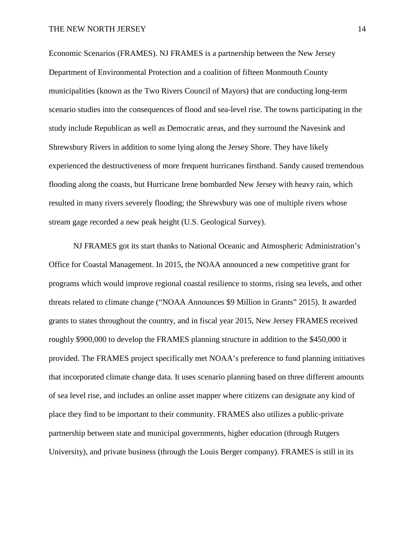Economic Scenarios (FRAMES). NJ FRAMES is a partnership between the New Jersey Department of Environmental Protection and a coalition of fifteen Monmouth County municipalities (known as the Two Rivers Council of Mayors) that are conducting long-term scenario studies into the consequences of flood and sea-level rise. The towns participating in the study include Republican as well as Democratic areas, and they surround the Navesink and Shrewsbury Rivers in addition to some lying along the Jersey Shore. They have likely experienced the destructiveness of more frequent hurricanes firsthand. Sandy caused tremendous flooding along the coasts, but Hurricane Irene bombarded New Jersey with heavy rain, which resulted in many rivers severely flooding; the Shrewsbury was one of multiple rivers whose stream gage recorded a new peak height (U.S. Geological Survey).

NJ FRAMES got its start thanks to National Oceanic and Atmospheric Administration's Office for Coastal Management. In 2015, the NOAA announced a new competitive grant for programs which would improve regional coastal resilience to storms, rising sea levels, and other threats related to climate change ("NOAA Announces \$9 Million in Grants" 2015). It awarded grants to states throughout the country, and in fiscal year 2015, New Jersey FRAMES received roughly \$900,000 to develop the FRAMES planning structure in addition to the \$450,000 it provided. The FRAMES project specifically met NOAA's preference to fund planning initiatives that incorporated climate change data. It uses scenario planning based on three different amounts of sea level rise, and includes an online asset mapper where citizens can designate any kind of place they find to be important to their community. FRAMES also utilizes a public-private partnership between state and municipal governments, higher education (through Rutgers University), and private business (through the Louis Berger company). FRAMES is still in its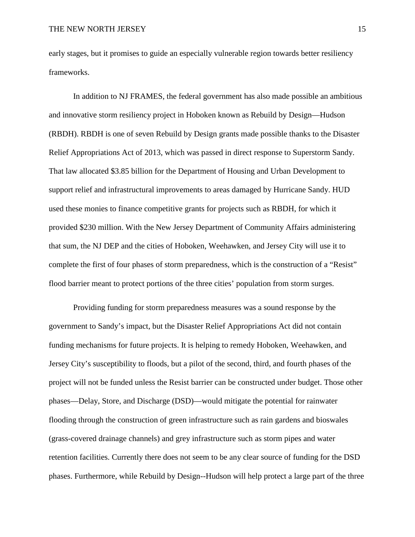early stages, but it promises to guide an especially vulnerable region towards better resiliency frameworks.

In addition to NJ FRAMES, the federal government has also made possible an ambitious and innovative storm resiliency project in Hoboken known as Rebuild by Design—Hudson (RBDH). RBDH is one of seven Rebuild by Design grants made possible thanks to the Disaster Relief Appropriations Act of 2013, which was passed in direct response to Superstorm Sandy. That law allocated \$3.85 billion for the Department of Housing and Urban Development to support relief and infrastructural improvements to areas damaged by Hurricane Sandy. HUD used these monies to finance competitive grants for projects such as RBDH, for which it provided \$230 million. With the New Jersey Department of Community Affairs administering that sum, the NJ DEP and the cities of Hoboken, Weehawken, and Jersey City will use it to complete the first of four phases of storm preparedness, which is the construction of a "Resist" flood barrier meant to protect portions of the three cities' population from storm surges.

Providing funding for storm preparedness measures was a sound response by the government to Sandy's impact, but the Disaster Relief Appropriations Act did not contain funding mechanisms for future projects. It is helping to remedy Hoboken, Weehawken, and Jersey City's susceptibility to floods, but a pilot of the second, third, and fourth phases of the project will not be funded unless the Resist barrier can be constructed under budget. Those other phases—Delay, Store, and Discharge (DSD)—would mitigate the potential for rainwater flooding through the construction of green infrastructure such as rain gardens and bioswales (grass-covered drainage channels) and grey infrastructure such as storm pipes and water retention facilities. Currently there does not seem to be any clear source of funding for the DSD phases. Furthermore, while Rebuild by Design--Hudson will help protect a large part of the three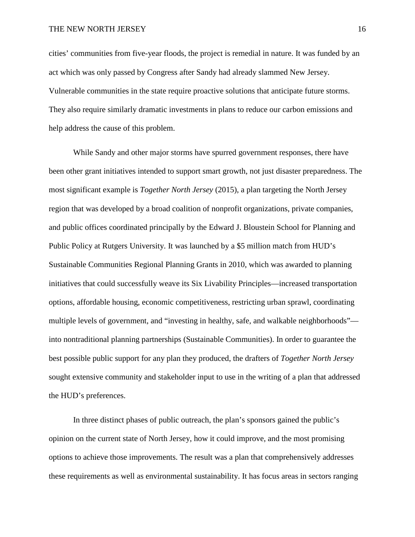cities' communities from five-year floods, the project is remedial in nature. It was funded by an act which was only passed by Congress after Sandy had already slammed New Jersey. Vulnerable communities in the state require proactive solutions that anticipate future storms. They also require similarly dramatic investments in plans to reduce our carbon emissions and help address the cause of this problem.

While Sandy and other major storms have spurred government responses, there have been other grant initiatives intended to support smart growth, not just disaster preparedness. The most significant example is *Together North Jersey* (2015), a plan targeting the North Jersey region that was developed by a broad coalition of nonprofit organizations, private companies, and public offices coordinated principally by the Edward J. Bloustein School for Planning and Public Policy at Rutgers University. It was launched by a \$5 million match from HUD's Sustainable Communities Regional Planning Grants in 2010, which was awarded to planning initiatives that could successfully weave its Six Livability Principles—increased transportation options, affordable housing, economic competitiveness, restricting urban sprawl, coordinating multiple levels of government, and "investing in healthy, safe, and walkable neighborhoods" into nontraditional planning partnerships (Sustainable Communities). In order to guarantee the best possible public support for any plan they produced, the drafters of *Together North Jersey* sought extensive community and stakeholder input to use in the writing of a plan that addressed the HUD's preferences.

In three distinct phases of public outreach, the plan's sponsors gained the public's opinion on the current state of North Jersey, how it could improve, and the most promising options to achieve those improvements. The result was a plan that comprehensively addresses these requirements as well as environmental sustainability. It has focus areas in sectors ranging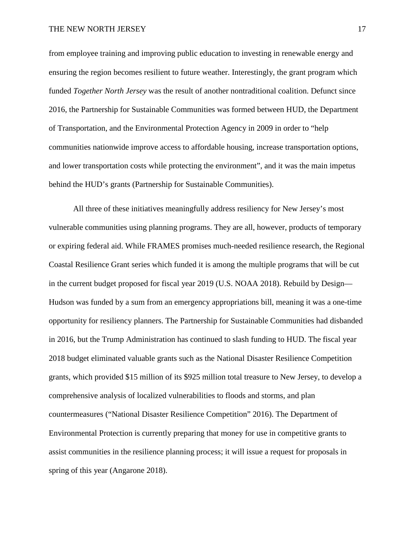from employee training and improving public education to investing in renewable energy and ensuring the region becomes resilient to future weather. Interestingly, the grant program which funded *Together North Jersey* was the result of another nontraditional coalition. Defunct since 2016, the Partnership for Sustainable Communities was formed between HUD, the Department of Transportation, and the Environmental Protection Agency in 2009 in order to "help communities nationwide improve access to affordable housing, increase transportation options, and lower transportation costs while protecting the environment", and it was the main impetus behind the HUD's grants (Partnership for Sustainable Communities).

All three of these initiatives meaningfully address resiliency for New Jersey's most vulnerable communities using planning programs. They are all, however, products of temporary or expiring federal aid. While FRAMES promises much-needed resilience research, the Regional Coastal Resilience Grant series which funded it is among the multiple programs that will be cut in the current budget proposed for fiscal year 2019 (U.S. NOAA 2018). Rebuild by Design— Hudson was funded by a sum from an emergency appropriations bill, meaning it was a one-time opportunity for resiliency planners. The Partnership for Sustainable Communities had disbanded in 2016, but the Trump Administration has continued to slash funding to HUD. The fiscal year 2018 budget eliminated valuable grants such as the National Disaster Resilience Competition grants, which provided \$15 million of its \$925 million total treasure to New Jersey, to develop a comprehensive analysis of localized vulnerabilities to floods and storms, and plan countermeasures ("National Disaster Resilience Competition" 2016). The Department of Environmental Protection is currently preparing that money for use in competitive grants to assist communities in the resilience planning process; it will issue a request for proposals in spring of this year (Angarone 2018).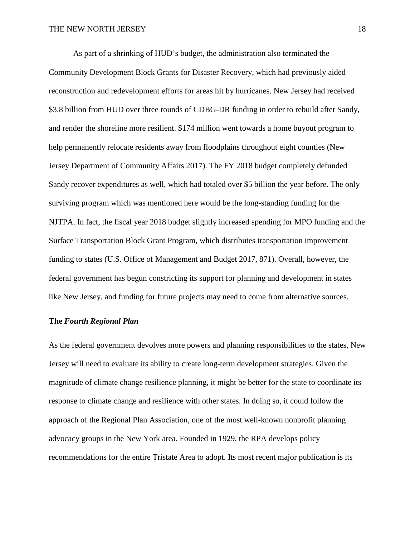As part of a shrinking of HUD's budget, the administration also terminated the Community Development Block Grants for Disaster Recovery, which had previously aided reconstruction and redevelopment efforts for areas hit by hurricanes. New Jersey had received \$3.8 billion from HUD over three rounds of CDBG-DR funding in order to rebuild after Sandy, and render the shoreline more resilient. \$174 million went towards a home buyout program to help permanently relocate residents away from floodplains throughout eight counties (New Jersey Department of Community Affairs 2017). The FY 2018 budget completely defunded Sandy recover expenditures as well, which had totaled over \$5 billion the year before. The only surviving program which was mentioned here would be the long-standing funding for the NJTPA. In fact, the fiscal year 2018 budget slightly increased spending for MPO funding and the Surface Transportation Block Grant Program, which distributes transportation improvement funding to states (U.S. Office of Management and Budget 2017, 871). Overall, however, the federal government has begun constricting its support for planning and development in states like New Jersey, and funding for future projects may need to come from alternative sources.

# **The** *Fourth Regional Plan*

As the federal government devolves more powers and planning responsibilities to the states, New Jersey will need to evaluate its ability to create long-term development strategies. Given the magnitude of climate change resilience planning, it might be better for the state to coordinate its response to climate change and resilience with other states. In doing so, it could follow the approach of the Regional Plan Association, one of the most well-known nonprofit planning advocacy groups in the New York area. Founded in 1929, the RPA develops policy recommendations for the entire Tristate Area to adopt. Its most recent major publication is its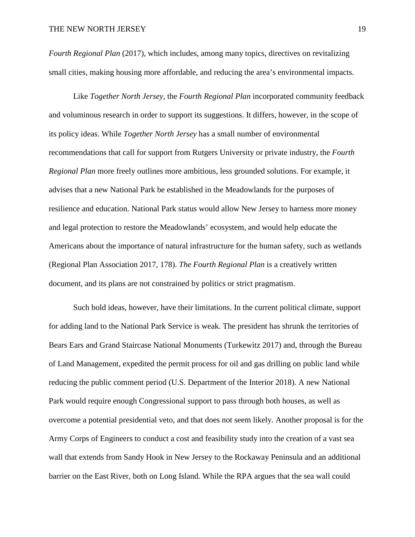*Fourth Regional Plan* (2017), which includes, among many topics, directives on revitalizing small cities, making housing more affordable, and reducing the area's environmental impacts.

Like *Together North Jersey*, the *Fourth Regional Plan* incorporated community feedback and voluminous research in order to support its suggestions. It differs, however, in the scope of its policy ideas. While *Together North Jersey* has a small number of environmental recommendations that call for support from Rutgers University or private industry, the *Fourth Regional Plan* more freely outlines more ambitious, less grounded solutions. For example, it advises that a new National Park be established in the Meadowlands for the purposes of resilience and education. National Park status would allow New Jersey to harness more money and legal protection to restore the Meadowlands' ecosystem, and would help educate the Americans about the importance of natural infrastructure for the human safety, such as wetlands (Regional Plan Association 2017, 178). *The Fourth Regional Plan* is a creatively written document, and its plans are not constrained by politics or strict pragmatism.

Such bold ideas, however, have their limitations. In the current political climate, support for adding land to the National Park Service is weak. The president has shrunk the territories of Bears Ears and Grand Staircase National Monuments (Turkewitz 2017) and, through the Bureau of Land Management, expedited the permit process for oil and gas drilling on public land while reducing the public comment period (U.S. Department of the Interior 2018). A new National Park would require enough Congressional support to pass through both houses, as well as overcome a potential presidential veto, and that does not seem likely. Another proposal is for the Army Corps of Engineers to conduct a cost and feasibility study into the creation of a vast sea wall that extends from Sandy Hook in New Jersey to the Rockaway Peninsula and an additional barrier on the East River, both on Long Island. While the RPA argues that the sea wall could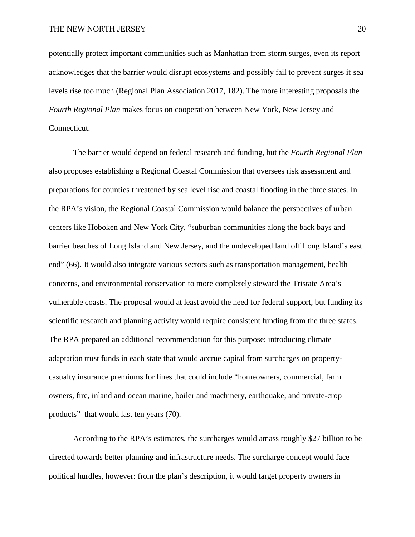potentially protect important communities such as Manhattan from storm surges, even its report acknowledges that the barrier would disrupt ecosystems and possibly fail to prevent surges if sea levels rise too much (Regional Plan Association 2017, 182). The more interesting proposals the *Fourth Regional Plan* makes focus on cooperation between New York, New Jersey and Connecticut.

The barrier would depend on federal research and funding, but the *Fourth Regional Plan* also proposes establishing a Regional Coastal Commission that oversees risk assessment and preparations for counties threatened by sea level rise and coastal flooding in the three states. In the RPA's vision, the Regional Coastal Commission would balance the perspectives of urban centers like Hoboken and New York City, "suburban communities along the back bays and barrier beaches of Long Island and New Jersey, and the undeveloped land off Long Island's east end" (66). It would also integrate various sectors such as transportation management, health concerns, and environmental conservation to more completely steward the Tristate Area's vulnerable coasts. The proposal would at least avoid the need for federal support, but funding its scientific research and planning activity would require consistent funding from the three states. The RPA prepared an additional recommendation for this purpose: introducing climate adaptation trust funds in each state that would accrue capital from surcharges on propertycasualty insurance premiums for lines that could include "homeowners, commercial, farm owners, fire, inland and ocean marine, boiler and machinery, earthquake, and private-crop products" that would last ten years (70).

According to the RPA's estimates, the surcharges would amass roughly \$27 billion to be directed towards better planning and infrastructure needs. The surcharge concept would face political hurdles, however: from the plan's description, it would target property owners in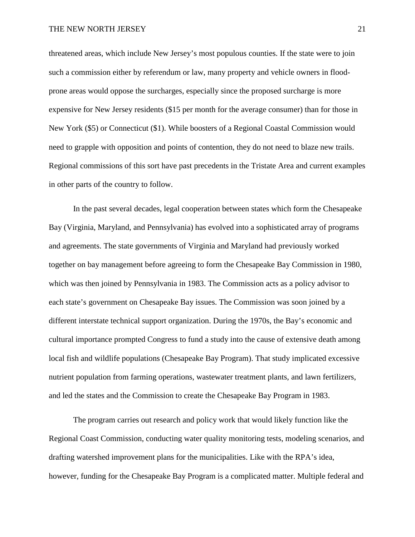threatened areas, which include New Jersey's most populous counties. If the state were to join such a commission either by referendum or law, many property and vehicle owners in floodprone areas would oppose the surcharges, especially since the proposed surcharge is more expensive for New Jersey residents (\$15 per month for the average consumer) than for those in New York (\$5) or Connecticut (\$1). While boosters of a Regional Coastal Commission would need to grapple with opposition and points of contention, they do not need to blaze new trails. Regional commissions of this sort have past precedents in the Tristate Area and current examples in other parts of the country to follow.

In the past several decades, legal cooperation between states which form the Chesapeake Bay (Virginia, Maryland, and Pennsylvania) has evolved into a sophisticated array of programs and agreements. The state governments of Virginia and Maryland had previously worked together on bay management before agreeing to form the Chesapeake Bay Commission in 1980, which was then joined by Pennsylvania in 1983. The Commission acts as a policy advisor to each state's government on Chesapeake Bay issues. The Commission was soon joined by a different interstate technical support organization. During the 1970s, the Bay's economic and cultural importance prompted Congress to fund a study into the cause of extensive death among local fish and wildlife populations (Chesapeake Bay Program). That study implicated excessive nutrient population from farming operations, wastewater treatment plants, and lawn fertilizers, and led the states and the Commission to create the Chesapeake Bay Program in 1983.

The program carries out research and policy work that would likely function like the Regional Coast Commission, conducting water quality monitoring tests, modeling scenarios, and drafting watershed improvement plans for the municipalities. Like with the RPA's idea, however, funding for the Chesapeake Bay Program is a complicated matter. Multiple federal and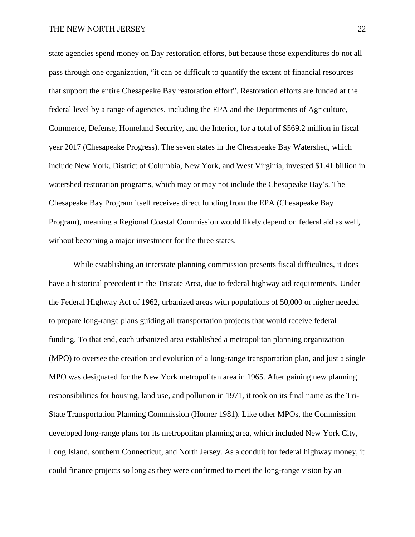state agencies spend money on Bay restoration efforts, but because those expenditures do not all pass through one organization, "it can be difficult to quantify the extent of financial resources that support the entire Chesapeake Bay restoration effort". Restoration efforts are funded at the federal level by a range of agencies, including the EPA and the Departments of Agriculture, Commerce, Defense, Homeland Security, and the Interior, for a total of \$569.2 million in fiscal year 2017 (Chesapeake Progress). The seven states in the Chesapeake Bay Watershed, which include New York, District of Columbia, New York, and West Virginia, invested \$1.41 billion in watershed restoration programs, which may or may not include the Chesapeake Bay's. The Chesapeake Bay Program itself receives direct funding from the EPA (Chesapeake Bay Program), meaning a Regional Coastal Commission would likely depend on federal aid as well, without becoming a major investment for the three states.

While establishing an interstate planning commission presents fiscal difficulties, it does have a historical precedent in the Tristate Area, due to federal highway aid requirements. Under the Federal Highway Act of 1962, urbanized areas with populations of 50,000 or higher needed to prepare long-range plans guiding all transportation projects that would receive federal funding. To that end, each urbanized area established a metropolitan planning organization (MPO) to oversee the creation and evolution of a long-range transportation plan, and just a single MPO was designated for the New York metropolitan area in 1965. After gaining new planning responsibilities for housing, land use, and pollution in 1971, it took on its final name as the Tri-State Transportation Planning Commission (Horner 1981). Like other MPOs, the Commission developed long-range plans for its metropolitan planning area, which included New York City, Long Island, southern Connecticut, and North Jersey. As a conduit for federal highway money, it could finance projects so long as they were confirmed to meet the long-range vision by an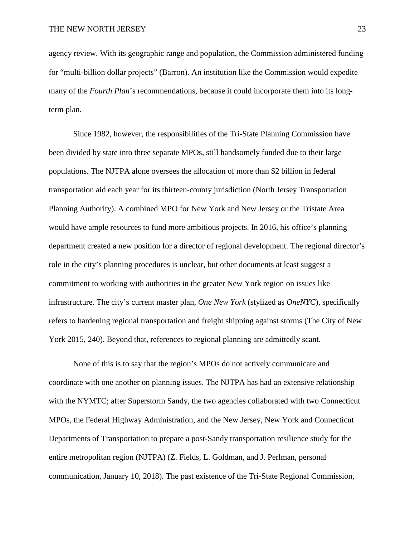agency review. With its geographic range and population, the Commission administered funding for "multi-billion dollar projects" (Barron). An institution like the Commission would expedite many of the *Fourth Plan*'s recommendations, because it could incorporate them into its longterm plan.

Since 1982, however, the responsibilities of the Tri-State Planning Commission have been divided by state into three separate MPOs, still handsomely funded due to their large populations. The NJTPA alone oversees the allocation of more than \$2 billion in federal transportation aid each year for its thirteen-county jurisdiction (North Jersey Transportation Planning Authority). A combined MPO for New York and New Jersey or the Tristate Area would have ample resources to fund more ambitious projects. In 2016, his office's planning department created a new position for a director of regional development. The regional director's role in the city's planning procedures is unclear, but other documents at least suggest a commitment to working with authorities in the greater New York region on issues like infrastructure. The city's current master plan, *One New York* (stylized as *OneNYC*), specifically refers to hardening regional transportation and freight shipping against storms (The City of New York 2015, 240). Beyond that, references to regional planning are admittedly scant.

None of this is to say that the region's MPOs do not actively communicate and coordinate with one another on planning issues. The NJTPA has had an extensive relationship with the NYMTC; after Superstorm Sandy, the two agencies collaborated with two Connecticut MPOs, the Federal Highway Administration, and the New Jersey, New York and Connecticut Departments of Transportation to prepare a post-Sandy transportation resilience study for the entire metropolitan region (NJTPA) (Z. Fields, L. Goldman, and J. Perlman, personal communication, January 10, 2018). The past existence of the Tri-State Regional Commission,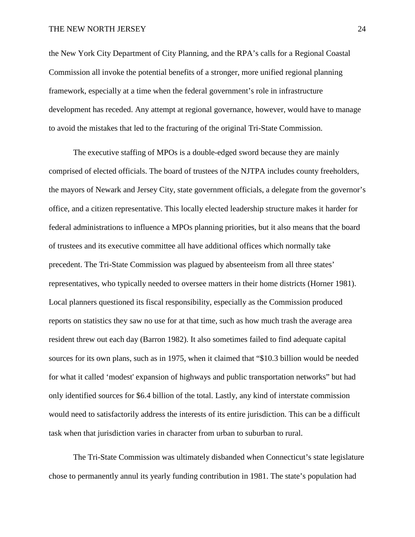the New York City Department of City Planning, and the RPA's calls for a Regional Coastal Commission all invoke the potential benefits of a stronger, more unified regional planning framework, especially at a time when the federal government's role in infrastructure development has receded. Any attempt at regional governance, however, would have to manage to avoid the mistakes that led to the fracturing of the original Tri-State Commission.

The executive staffing of MPOs is a double-edged sword because they are mainly comprised of elected officials. The board of trustees of the NJTPA includes county freeholders, the mayors of Newark and Jersey City, state government officials, a delegate from the governor's office, and a citizen representative. This locally elected leadership structure makes it harder for federal administrations to influence a MPOs planning priorities, but it also means that the board of trustees and its executive committee all have additional offices which normally take precedent. The Tri-State Commission was plagued by absenteeism from all three states' representatives, who typically needed to oversee matters in their home districts (Horner 1981). Local planners questioned its fiscal responsibility, especially as the Commission produced reports on statistics they saw no use for at that time, such as how much trash the average area resident threw out each day (Barron 1982). It also sometimes failed to find adequate capital sources for its own plans, such as in 1975, when it claimed that "\$10.3 billion would be needed for what it called 'modest' expansion of highways and public transportation networks" but had only identified sources for \$6.4 billion of the total. Lastly, any kind of interstate commission would need to satisfactorily address the interests of its entire jurisdiction. This can be a difficult task when that jurisdiction varies in character from urban to suburban to rural.

The Tri-State Commission was ultimately disbanded when Connecticut's state legislature chose to permanently annul its yearly funding contribution in 1981. The state's population had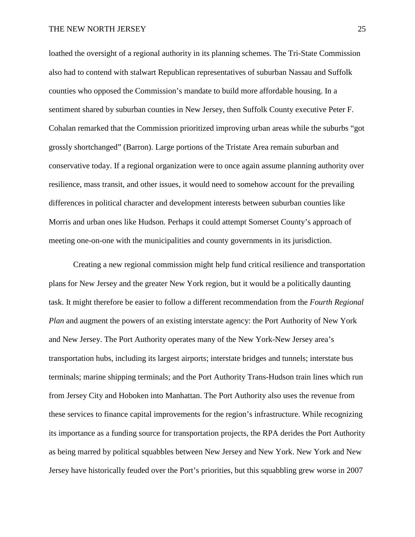loathed the oversight of a regional authority in its planning schemes. The Tri-State Commission also had to contend with stalwart Republican representatives of suburban Nassau and Suffolk counties who opposed the Commission's mandate to build more affordable housing. In a sentiment shared by suburban counties in New Jersey, then Suffolk County executive Peter F. Cohalan remarked that the Commission prioritized improving urban areas while the suburbs "got grossly shortchanged" (Barron). Large portions of the Tristate Area remain suburban and conservative today. If a regional organization were to once again assume planning authority over resilience, mass transit, and other issues, it would need to somehow account for the prevailing differences in political character and development interests between suburban counties like Morris and urban ones like Hudson. Perhaps it could attempt Somerset County's approach of meeting one-on-one with the municipalities and county governments in its jurisdiction.

Creating a new regional commission might help fund critical resilience and transportation plans for New Jersey and the greater New York region, but it would be a politically daunting task. It might therefore be easier to follow a different recommendation from the *Fourth Regional Plan* and augment the powers of an existing interstate agency: the Port Authority of New York and New Jersey. The Port Authority operates many of the New York-New Jersey area's transportation hubs, including its largest airports; interstate bridges and tunnels; interstate bus terminals; marine shipping terminals; and the Port Authority Trans-Hudson train lines which run from Jersey City and Hoboken into Manhattan. The Port Authority also uses the revenue from these services to finance capital improvements for the region's infrastructure. While recognizing its importance as a funding source for transportation projects, the RPA derides the Port Authority as being marred by political squabbles between New Jersey and New York. New York and New Jersey have historically feuded over the Port's priorities, but this squabbling grew worse in 2007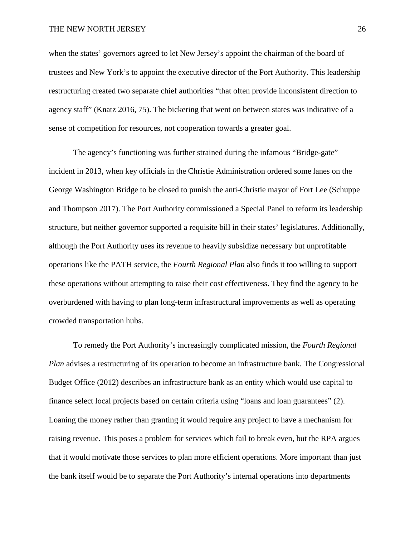when the states' governors agreed to let New Jersey's appoint the chairman of the board of trustees and New York's to appoint the executive director of the Port Authority. This leadership restructuring created two separate chief authorities "that often provide inconsistent direction to agency staff" (Knatz 2016, 75). The bickering that went on between states was indicative of a sense of competition for resources, not cooperation towards a greater goal.

The agency's functioning was further strained during the infamous "Bridge-gate" incident in 2013, when key officials in the Christie Administration ordered some lanes on the George Washington Bridge to be closed to punish the anti-Christie mayor of Fort Lee (Schuppe and Thompson 2017). The Port Authority commissioned a Special Panel to reform its leadership structure, but neither governor supported a requisite bill in their states' legislatures. Additionally, although the Port Authority uses its revenue to heavily subsidize necessary but unprofitable operations like the PATH service, the *Fourth Regional Plan* also finds it too willing to support these operations without attempting to raise their cost effectiveness. They find the agency to be overburdened with having to plan long-term infrastructural improvements as well as operating crowded transportation hubs.

To remedy the Port Authority's increasingly complicated mission, the *Fourth Regional Plan advises a restructuring of its operation to become an infrastructure bank. The Congressional* Budget Office (2012) describes an infrastructure bank as an entity which would use capital to finance select local projects based on certain criteria using "loans and loan guarantees" (2). Loaning the money rather than granting it would require any project to have a mechanism for raising revenue. This poses a problem for services which fail to break even, but the RPA argues that it would motivate those services to plan more efficient operations. More important than just the bank itself would be to separate the Port Authority's internal operations into departments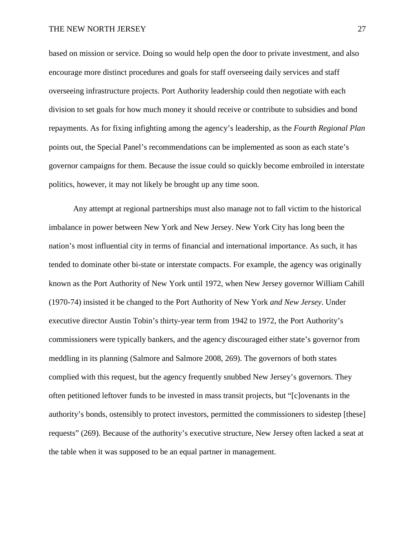based on mission or service. Doing so would help open the door to private investment, and also encourage more distinct procedures and goals for staff overseeing daily services and staff overseeing infrastructure projects. Port Authority leadership could then negotiate with each division to set goals for how much money it should receive or contribute to subsidies and bond repayments. As for fixing infighting among the agency's leadership, as the *Fourth Regional Plan* points out, the Special Panel's recommendations can be implemented as soon as each state's governor campaigns for them. Because the issue could so quickly become embroiled in interstate politics, however, it may not likely be brought up any time soon.

Any attempt at regional partnerships must also manage not to fall victim to the historical imbalance in power between New York and New Jersey. New York City has long been the nation's most influential city in terms of financial and international importance. As such, it has tended to dominate other bi-state or interstate compacts. For example, the agency was originally known as the Port Authority of New York until 1972, when New Jersey governor William Cahill (1970-74) insisted it be changed to the Port Authority of New York *and New Jersey*. Under executive director Austin Tobin's thirty-year term from 1942 to 1972, the Port Authority's commissioners were typically bankers, and the agency discouraged either state's governor from meddling in its planning (Salmore and Salmore 2008, 269). The governors of both states complied with this request, but the agency frequently snubbed New Jersey's governors. They often petitioned leftover funds to be invested in mass transit projects, but "[c]ovenants in the authority's bonds, ostensibly to protect investors, permitted the commissioners to sidestep [these] requests" (269). Because of the authority's executive structure, New Jersey often lacked a seat at the table when it was supposed to be an equal partner in management.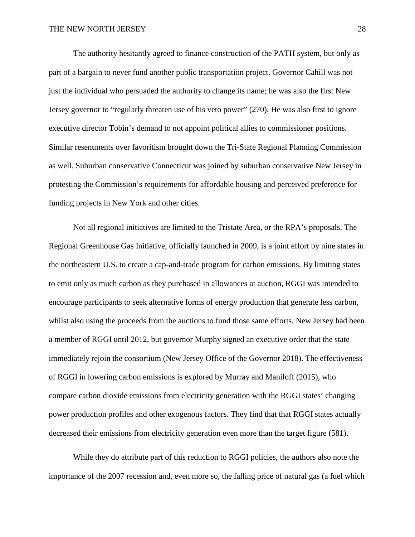The authority hesitantly agreed to finance construction of the PATH system, but only as part of a bargain to never fund another public transportation project. Governor Cahill was not just the individual who persuaded the authority to change its name; he was also the first New Jersey governor to "regularly threaten use of his veto power" (270). He was also first to ignore executive director Tobin's demand to not appoint political allies to commissioner positions. Similar resentments over favoritism brought down the Tri-State Regional Planning Commission as well. Suburban conservative Connecticut was joined by suburban conservative New Jersey in protesting the Commission's requirements for affordable housing and perceived preference for funding projects in New York and other cities.

Not all regional initiatives are limited to the Tristate Area, or the RPA's proposals. The Regional Greenhouse Gas Initiative, officially launched in 2009, is a joint effort by nine states in the northeastern U.S. to create a cap-and-trade program for carbon emissions. By limiting states to emit only as much carbon as they purchased in allowances at auction, RGGI was intended to encourage participants to seek alternative forms of energy production that generate less carbon, whilst also using the proceeds from the auctions to fund those same efforts. New Jersey had been a member of RGGI until 2012, but governor Murphy signed an executive order that the state immediately rejoin the consortium (New Jersey Office of the Governor 2018). The effectiveness of RGGI in lowering carbon emissions is explored by Murray and Maniloff (2015), who compare carbon dioxide emissions from electricity generation with the RGGI states' changing power production profiles and other exogenous factors. They find that that RGGI states actually decreased their emissions from electricity generation even more than the target figure (581).

While they do attribute part of this reduction to RGGI policies, the authors also note the importance of the 2007 recession and, even more so, the falling price of natural gas (a fuel which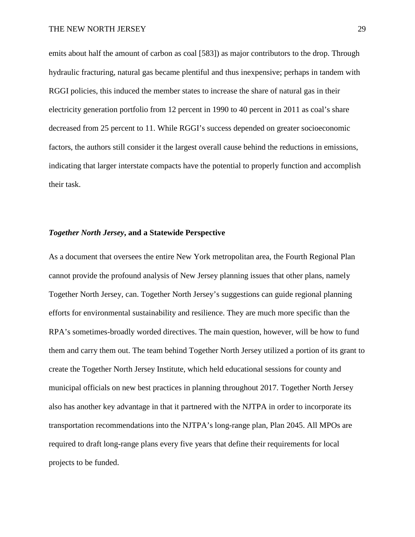emits about half the amount of carbon as coal [583]) as major contributors to the drop. Through hydraulic fracturing, natural gas became plentiful and thus inexpensive; perhaps in tandem with RGGI policies, this induced the member states to increase the share of natural gas in their electricity generation portfolio from 12 percent in 1990 to 40 percent in 2011 as coal's share decreased from 25 percent to 11. While RGGI's success depended on greater socioeconomic factors, the authors still consider it the largest overall cause behind the reductions in emissions, indicating that larger interstate compacts have the potential to properly function and accomplish their task.

# *Together North Jersey***, and a Statewide Perspective**

As a document that oversees the entire New York metropolitan area, the Fourth Regional Plan cannot provide the profound analysis of New Jersey planning issues that other plans, namely Together North Jersey, can. Together North Jersey's suggestions can guide regional planning efforts for environmental sustainability and resilience. They are much more specific than the RPA's sometimes-broadly worded directives. The main question, however, will be how to fund them and carry them out. The team behind Together North Jersey utilized a portion of its grant to create the Together North Jersey Institute, which held educational sessions for county and municipal officials on new best practices in planning throughout 2017. Together North Jersey also has another key advantage in that it partnered with the NJTPA in order to incorporate its transportation recommendations into the NJTPA's long-range plan, Plan 2045. All MPOs are required to draft long-range plans every five years that define their requirements for local projects to be funded.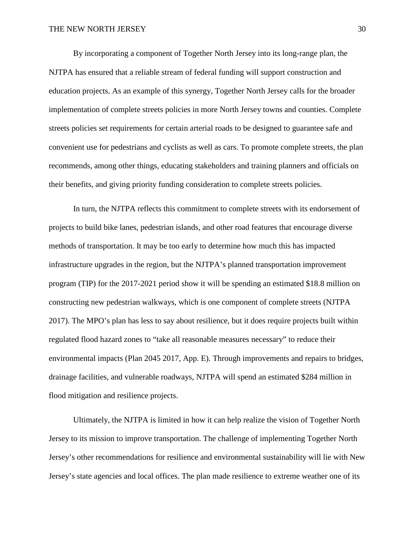By incorporating a component of Together North Jersey into its long-range plan, the NJTPA has ensured that a reliable stream of federal funding will support construction and education projects. As an example of this synergy, Together North Jersey calls for the broader implementation of complete streets policies in more North Jersey towns and counties. Complete streets policies set requirements for certain arterial roads to be designed to guarantee safe and convenient use for pedestrians and cyclists as well as cars. To promote complete streets, the plan recommends, among other things, educating stakeholders and training planners and officials on their benefits, and giving priority funding consideration to complete streets policies.

In turn, the NJTPA reflects this commitment to complete streets with its endorsement of projects to build bike lanes, pedestrian islands, and other road features that encourage diverse methods of transportation. It may be too early to determine how much this has impacted infrastructure upgrades in the region, but the NJTPA's planned transportation improvement program (TIP) for the 2017-2021 period show it will be spending an estimated \$18.8 million on constructing new pedestrian walkways, which is one component of complete streets (NJTPA 2017). The MPO's plan has less to say about resilience, but it does require projects built within regulated flood hazard zones to "take all reasonable measures necessary" to reduce their environmental impacts (Plan 2045 2017, App. E). Through improvements and repairs to bridges, drainage facilities, and vulnerable roadways, NJTPA will spend an estimated \$284 million in flood mitigation and resilience projects.

Ultimately, the NJTPA is limited in how it can help realize the vision of Together North Jersey to its mission to improve transportation. The challenge of implementing Together North Jersey's other recommendations for resilience and environmental sustainability will lie with New Jersey's state agencies and local offices. The plan made resilience to extreme weather one of its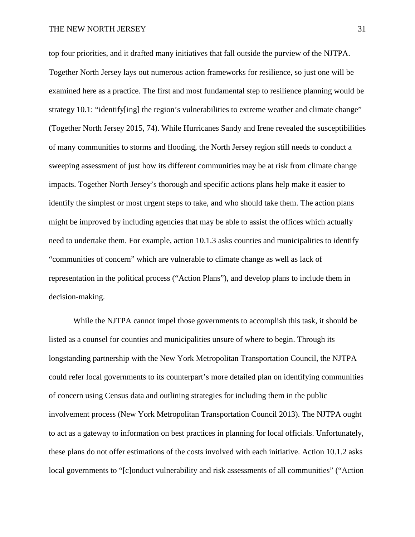top four priorities, and it drafted many initiatives that fall outside the purview of the NJTPA. Together North Jersey lays out numerous action frameworks for resilience, so just one will be examined here as a practice. The first and most fundamental step to resilience planning would be strategy 10.1: "identify[ing] the region's vulnerabilities to extreme weather and climate change" (Together North Jersey 2015, 74). While Hurricanes Sandy and Irene revealed the susceptibilities of many communities to storms and flooding, the North Jersey region still needs to conduct a sweeping assessment of just how its different communities may be at risk from climate change impacts. Together North Jersey's thorough and specific actions plans help make it easier to identify the simplest or most urgent steps to take, and who should take them. The action plans might be improved by including agencies that may be able to assist the offices which actually need to undertake them. For example, action 10.1.3 asks counties and municipalities to identify "communities of concern" which are vulnerable to climate change as well as lack of representation in the political process ("Action Plans"), and develop plans to include them in decision-making.

While the NJTPA cannot impel those governments to accomplish this task, it should be listed as a counsel for counties and municipalities unsure of where to begin. Through its longstanding partnership with the New York Metropolitan Transportation Council, the NJTPA could refer local governments to its counterpart's more detailed plan on identifying communities of concern using Census data and outlining strategies for including them in the public involvement process (New York Metropolitan Transportation Council 2013). The NJTPA ought to act as a gateway to information on best practices in planning for local officials. Unfortunately, these plans do not offer estimations of the costs involved with each initiative. Action 10.1.2 asks local governments to "[c]onduct vulnerability and risk assessments of all communities" ("Action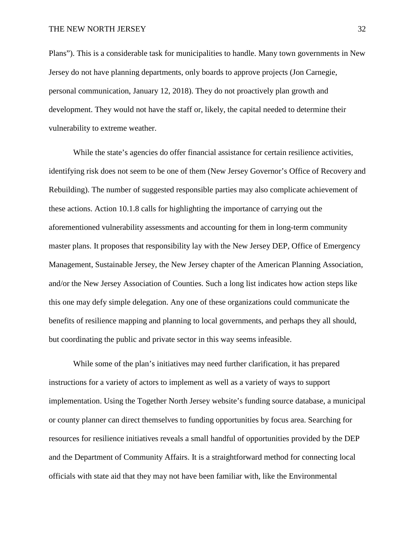Plans"). This is a considerable task for municipalities to handle. Many town governments in New Jersey do not have planning departments, only boards to approve projects (Jon Carnegie, personal communication, January 12, 2018). They do not proactively plan growth and development. They would not have the staff or, likely, the capital needed to determine their vulnerability to extreme weather.

While the state's agencies do offer financial assistance for certain resilience activities, identifying risk does not seem to be one of them (New Jersey Governor's Office of Recovery and Rebuilding). The number of suggested responsible parties may also complicate achievement of these actions. Action 10.1.8 calls for highlighting the importance of carrying out the aforementioned vulnerability assessments and accounting for them in long-term community master plans. It proposes that responsibility lay with the New Jersey DEP, Office of Emergency Management, Sustainable Jersey, the New Jersey chapter of the American Planning Association, and/or the New Jersey Association of Counties. Such a long list indicates how action steps like this one may defy simple delegation. Any one of these organizations could communicate the benefits of resilience mapping and planning to local governments, and perhaps they all should, but coordinating the public and private sector in this way seems infeasible.

While some of the plan's initiatives may need further clarification, it has prepared instructions for a variety of actors to implement as well as a variety of ways to support implementation. Using the Together North Jersey website's funding source database, a municipal or county planner can direct themselves to funding opportunities by focus area. Searching for resources for resilience initiatives reveals a small handful of opportunities provided by the DEP and the Department of Community Affairs. It is a straightforward method for connecting local officials with state aid that they may not have been familiar with, like the Environmental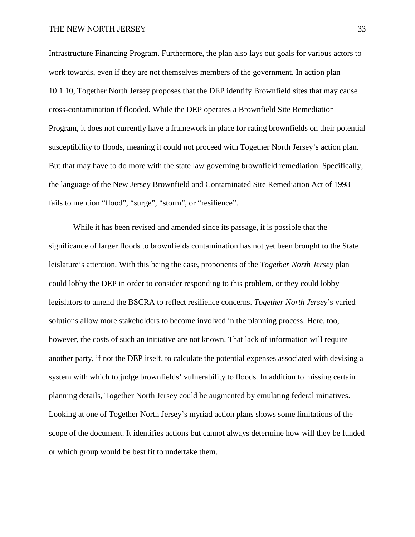Infrastructure Financing Program. Furthermore, the plan also lays out goals for various actors to work towards, even if they are not themselves members of the government. In action plan 10.1.10, Together North Jersey proposes that the DEP identify Brownfield sites that may cause cross-contamination if flooded. While the DEP operates a Brownfield Site Remediation Program, it does not currently have a framework in place for rating brownfields on their potential susceptibility to floods, meaning it could not proceed with Together North Jersey's action plan. But that may have to do more with the state law governing brownfield remediation. Specifically, the language of the New Jersey Brownfield and Contaminated Site Remediation Act of 1998 fails to mention "flood", "surge", "storm", or "resilience".

While it has been revised and amended since its passage, it is possible that the significance of larger floods to brownfields contamination has not yet been brought to the State leislature's attention. With this being the case, proponents of the *Together North Jersey* plan could lobby the DEP in order to consider responding to this problem, or they could lobby legislators to amend the BSCRA to reflect resilience concerns. *Together North Jersey*'s varied solutions allow more stakeholders to become involved in the planning process. Here, too, however, the costs of such an initiative are not known. That lack of information will require another party, if not the DEP itself, to calculate the potential expenses associated with devising a system with which to judge brownfields' vulnerability to floods. In addition to missing certain planning details, Together North Jersey could be augmented by emulating federal initiatives. Looking at one of Together North Jersey's myriad action plans shows some limitations of the scope of the document. It identifies actions but cannot always determine how will they be funded or which group would be best fit to undertake them.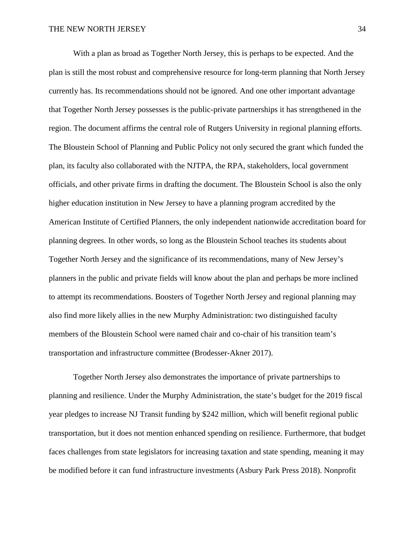With a plan as broad as Together North Jersey, this is perhaps to be expected. And the plan is still the most robust and comprehensive resource for long-term planning that North Jersey currently has. Its recommendations should not be ignored. And one other important advantage that Together North Jersey possesses is the public-private partnerships it has strengthened in the region. The document affirms the central role of Rutgers University in regional planning efforts. The Bloustein School of Planning and Public Policy not only secured the grant which funded the plan, its faculty also collaborated with the NJTPA, the RPA, stakeholders, local government officials, and other private firms in drafting the document. The Bloustein School is also the only higher education institution in New Jersey to have a planning program accredited by the American Institute of Certified Planners, the only independent nationwide accreditation board for planning degrees. In other words, so long as the Bloustein School teaches its students about Together North Jersey and the significance of its recommendations, many of New Jersey's planners in the public and private fields will know about the plan and perhaps be more inclined to attempt its recommendations. Boosters of Together North Jersey and regional planning may also find more likely allies in the new Murphy Administration: two distinguished faculty members of the Bloustein School were named chair and co-chair of his transition team's transportation and infrastructure committee (Brodesser-Akner 2017).

Together North Jersey also demonstrates the importance of private partnerships to planning and resilience. Under the Murphy Administration, the state's budget for the 2019 fiscal year pledges to increase NJ Transit funding by \$242 million, which will benefit regional public transportation, but it does not mention enhanced spending on resilience. Furthermore, that budget faces challenges from state legislators for increasing taxation and state spending, meaning it may be modified before it can fund infrastructure investments (Asbury Park Press 2018). Nonprofit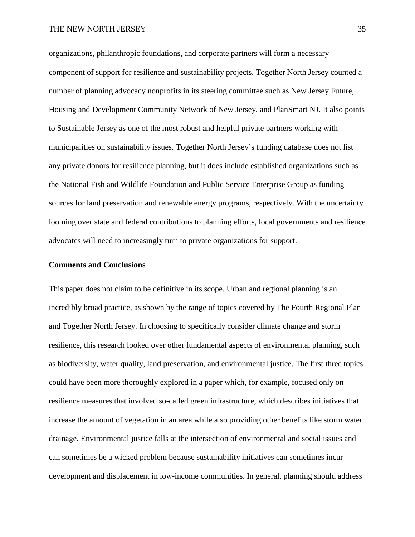organizations, philanthropic foundations, and corporate partners will form a necessary component of support for resilience and sustainability projects. Together North Jersey counted a number of planning advocacy nonprofits in its steering committee such as New Jersey Future, Housing and Development Community Network of New Jersey, and PlanSmart NJ. It also points to Sustainable Jersey as one of the most robust and helpful private partners working with municipalities on sustainability issues. Together North Jersey's funding database does not list any private donors for resilience planning, but it does include established organizations such as the National Fish and Wildlife Foundation and Public Service Enterprise Group as funding sources for land preservation and renewable energy programs, respectively. With the uncertainty looming over state and federal contributions to planning efforts, local governments and resilience advocates will need to increasingly turn to private organizations for support.

# **Comments and Conclusions**

This paper does not claim to be definitive in its scope. Urban and regional planning is an incredibly broad practice, as shown by the range of topics covered by The Fourth Regional Plan and Together North Jersey. In choosing to specifically consider climate change and storm resilience, this research looked over other fundamental aspects of environmental planning, such as biodiversity, water quality, land preservation, and environmental justice. The first three topics could have been more thoroughly explored in a paper which, for example, focused only on resilience measures that involved so-called green infrastructure, which describes initiatives that increase the amount of vegetation in an area while also providing other benefits like storm water drainage. Environmental justice falls at the intersection of environmental and social issues and can sometimes be a wicked problem because sustainability initiatives can sometimes incur development and displacement in low-income communities. In general, planning should address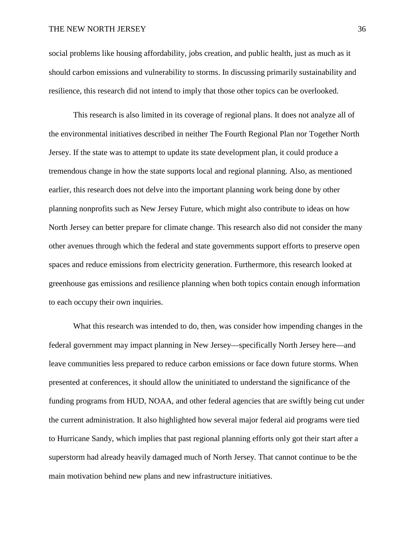social problems like housing affordability, jobs creation, and public health, just as much as it should carbon emissions and vulnerability to storms. In discussing primarily sustainability and resilience, this research did not intend to imply that those other topics can be overlooked.

This research is also limited in its coverage of regional plans. It does not analyze all of the environmental initiatives described in neither The Fourth Regional Plan nor Together North Jersey. If the state was to attempt to update its state development plan, it could produce a tremendous change in how the state supports local and regional planning. Also, as mentioned earlier, this research does not delve into the important planning work being done by other planning nonprofits such as New Jersey Future, which might also contribute to ideas on how North Jersey can better prepare for climate change. This research also did not consider the many other avenues through which the federal and state governments support efforts to preserve open spaces and reduce emissions from electricity generation. Furthermore, this research looked at greenhouse gas emissions and resilience planning when both topics contain enough information to each occupy their own inquiries.

What this research was intended to do, then, was consider how impending changes in the federal government may impact planning in New Jersey—specifically North Jersey here—and leave communities less prepared to reduce carbon emissions or face down future storms. When presented at conferences, it should allow the uninitiated to understand the significance of the funding programs from HUD, NOAA, and other federal agencies that are swiftly being cut under the current administration. It also highlighted how several major federal aid programs were tied to Hurricane Sandy, which implies that past regional planning efforts only got their start after a superstorm had already heavily damaged much of North Jersey. That cannot continue to be the main motivation behind new plans and new infrastructure initiatives.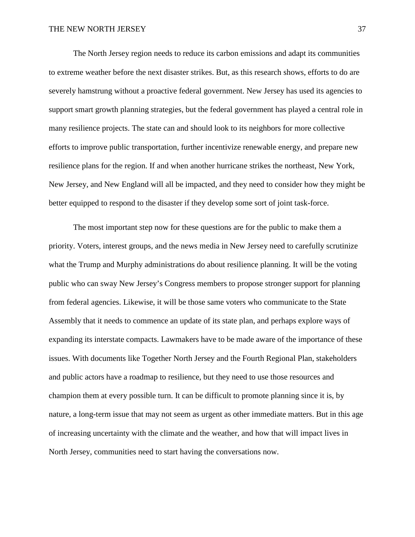The North Jersey region needs to reduce its carbon emissions and adapt its communities to extreme weather before the next disaster strikes. But, as this research shows, efforts to do are severely hamstrung without a proactive federal government. New Jersey has used its agencies to support smart growth planning strategies, but the federal government has played a central role in many resilience projects. The state can and should look to its neighbors for more collective efforts to improve public transportation, further incentivize renewable energy, and prepare new resilience plans for the region. If and when another hurricane strikes the northeast, New York, New Jersey, and New England will all be impacted, and they need to consider how they might be better equipped to respond to the disaster if they develop some sort of joint task-force.

The most important step now for these questions are for the public to make them a priority. Voters, interest groups, and the news media in New Jersey need to carefully scrutinize what the Trump and Murphy administrations do about resilience planning. It will be the voting public who can sway New Jersey's Congress members to propose stronger support for planning from federal agencies. Likewise, it will be those same voters who communicate to the State Assembly that it needs to commence an update of its state plan, and perhaps explore ways of expanding its interstate compacts. Lawmakers have to be made aware of the importance of these issues. With documents like Together North Jersey and the Fourth Regional Plan, stakeholders and public actors have a roadmap to resilience, but they need to use those resources and champion them at every possible turn. It can be difficult to promote planning since it is, by nature, a long-term issue that may not seem as urgent as other immediate matters. But in this age of increasing uncertainty with the climate and the weather, and how that will impact lives in North Jersey, communities need to start having the conversations now.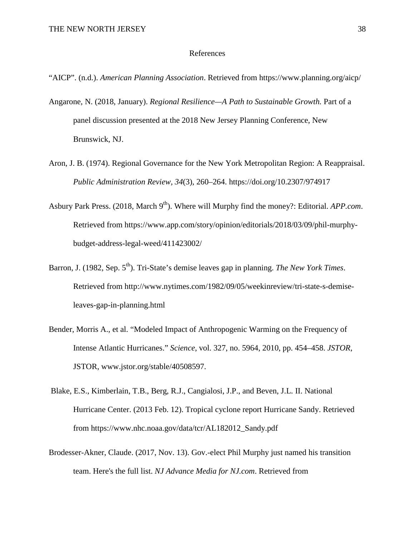#### References

- "AICP". (n.d.). *American Planning Association*. Retrieved from https://www.planning.org/aicp/
- Angarone, N. (2018, January). *Regional Resilience—A Path to Sustainable Growth.* Part of a panel discussion presented at the 2018 New Jersey Planning Conference, New Brunswick, NJ.
- Aron, J. B. (1974). Regional Governance for the New York Metropolitan Region: A Reappraisal. *Public Administration Review, 34*(3), 260–264. https://doi.org/10.2307/974917
- Asbury Park Press. (2018, March 9<sup>th</sup>). Where will Murphy find the money?: Editorial. *APP.com*. Retrieved from https://www.app.com/story/opinion/editorials/2018/03/09/phil-murphybudget-address-legal-weed/411423002/
- Barron, J. (1982, Sep. 5<sup>th</sup>). Tri-State's demise leaves gap in planning. *The New York Times*. Retrieved from http://www.nytimes.com/1982/09/05/weekinreview/tri-state-s-demiseleaves-gap-in-planning.html
- Bender, Morris A., et al. "Modeled Impact of Anthropogenic Warming on the Frequency of Intense Atlantic Hurricanes." *Science*, vol. 327, no. 5964, 2010, pp. 454–458. *JSTOR*, JSTOR, www.jstor.org/stable/40508597.
- Blake, E.S., Kimberlain, T.B., Berg, R.J., Cangialosi, J.P., and Beven, J.L. II. National Hurricane Center. (2013 Feb. 12). Tropical cyclone report Hurricane Sandy. Retrieved from https://www.nhc.noaa.gov/data/tcr/AL182012\_Sandy.pdf
- Brodesser-Akner, Claude. (2017, Nov. 13). Gov.-elect Phil Murphy just named his transition team. Here's the full list. *NJ Advance Media for NJ.com*. Retrieved from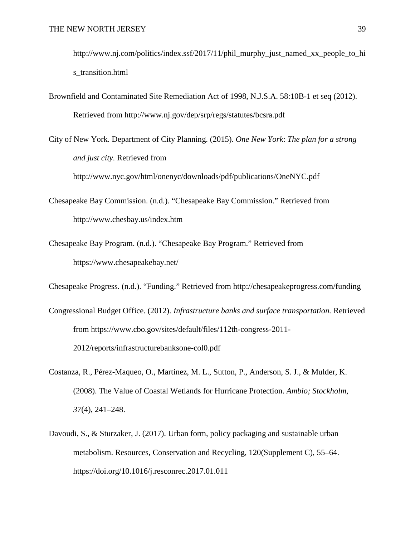http://www.nj.com/politics/index.ssf/2017/11/phil\_murphy\_just\_named\_xx\_people\_to\_hi\_ s transition.html

Brownfield and Contaminated Site Remediation Act of 1998, N.J.S.A. 58:10B-1 et seq (2012). Retrieved from http://www.nj.gov/dep/srp/regs/statutes/bcsra.pdf

City of New York. Department of City Planning. (2015). *One New York*: *The plan for a strong and just city*. Retrieved from

http://www.nyc.gov/html/onenyc/downloads/pdf/publications/OneNYC.pdf

- Chesapeake Bay Commission. (n.d.). "Chesapeake Bay Commission." Retrieved from http://www.chesbay.us/index.htm
- Chesapeake Bay Program. (n.d.). "Chesapeake Bay Program." Retrieved from https://www.chesapeakebay.net/

Chesapeake Progress. (n.d.). "Funding." Retrieved from http://chesapeakeprogress.com/funding

- Congressional Budget Office. (2012). *Infrastructure banks and surface transportation.* Retrieved from https://www.cbo.gov/sites/default/files/112th-congress-2011- 2012/reports/infrastructurebanksone-col0.pdf
- Costanza, R., Pérez-Maqueo, O., Martinez, M. L., Sutton, P., Anderson, S. J., & Mulder, K. (2008). The Value of Coastal Wetlands for Hurricane Protection. *Ambio; Stockholm*, *37*(4), 241–248.
- Davoudi, S., & Sturzaker, J. (2017). Urban form, policy packaging and sustainable urban metabolism. Resources, Conservation and Recycling, 120(Supplement C), 55–64. https://doi.org/10.1016/j.resconrec.2017.01.011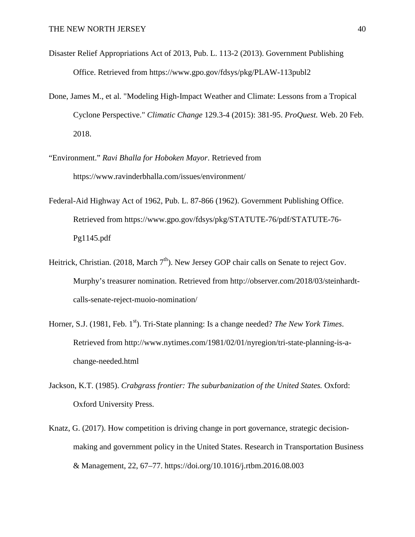- Disaster Relief Appropriations Act of 2013, Pub. L. 113-2 (2013). Government Publishing Office. Retrieved from https://www.gpo.gov/fdsys/pkg/PLAW-113publ2
- Done, James M., et al. "Modeling High-Impact Weather and Climate: Lessons from a Tropical Cyclone Perspective." *Climatic Change* 129.3-4 (2015): 381-95. *ProQuest.* Web. 20 Feb. 2018.
- "Environment." *Ravi Bhalla for Hoboken Mayor*. Retrieved from https://www.ravinderbhalla.com/issues/environment/
- Federal-Aid Highway Act of 1962, Pub. L. 87-866 (1962). Government Publishing Office. Retrieved from https://www.gpo.gov/fdsys/pkg/STATUTE-76/pdf/STATUTE-76- Pg1145.pdf
- Heitrick, Christian. (2018, March  $7<sup>th</sup>$ ). New Jersey GOP chair calls on Senate to reject Gov. Murphy's treasurer nomination. Retrieved from http://observer.com/2018/03/steinhardtcalls-senate-reject-muoio-nomination/
- Horner, S.J. (1981, Feb. 1<sup>st</sup>). Tri-State planning: Is a change needed? *The New York Times*. Retrieved from http://www.nytimes.com/1981/02/01/nyregion/tri-state-planning-is-achange-needed.html
- Jackson, K.T. (1985). *Crabgrass frontier: The suburbanization of the United States.* Oxford: Oxford University Press.
- Knatz, G. (2017). How competition is driving change in port governance, strategic decisionmaking and government policy in the United States. Research in Transportation Business & Management, 22, 67–77. https://doi.org/10.1016/j.rtbm.2016.08.003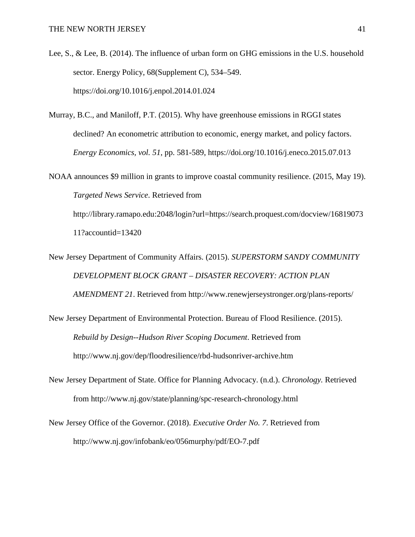Lee, S., & Lee, B. (2014). The influence of urban form on GHG emissions in the U.S. household sector. Energy Policy, 68(Supplement C), 534–549. https://doi.org/10.1016/j.enpol.2014.01.024

- Murray, B.C., and Maniloff, P.T. (2015). Why have greenhouse emissions in RGGI states declined? An econometric attribution to economic, energy market, and policy factors. *Energy Economics, vol. 51*, pp. 581-589, https://doi.org/10.1016/j.eneco.2015.07.013
- NOAA announces \$9 million in grants to improve coastal community resilience. (2015, May 19). *Targeted News Service*. Retrieved from http://library.ramapo.edu:2048/login?url=https://search.proquest.com/docview/16819073

11?accountid=13420

New Jersey Department of Community Affairs. (2015). *SUPERSTORM SANDY COMMUNITY DEVELOPMENT BLOCK GRANT – DISASTER RECOVERY: ACTION PLAN AMENDMENT 21*. Retrieved from http://www.renewjerseystronger.org/plans-reports/

- New Jersey Department of Environmental Protection. Bureau of Flood Resilience. (2015). *Rebuild by Design--Hudson River Scoping Document*. Retrieved from http://www.nj.gov/dep/floodresilience/rbd-hudsonriver-archive.htm
- New Jersey Department of State. Office for Planning Advocacy. (n.d.). *Chronology.* Retrieved from http://www.nj.gov/state/planning/spc-research-chronology.html
- New Jersey Office of the Governor. (2018). *Executive Order No. 7*. Retrieved from http://www.nj.gov/infobank/eo/056murphy/pdf/EO-7.pdf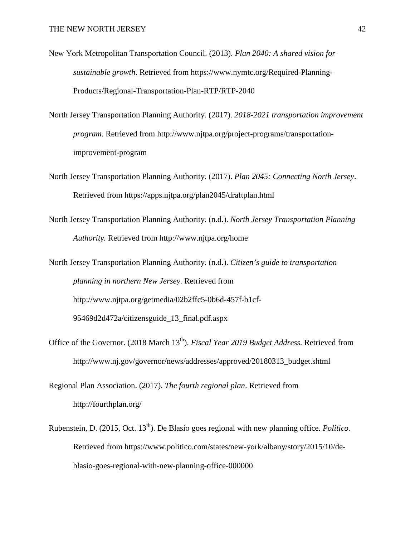- New York Metropolitan Transportation Council. (2013). *Plan 2040: A shared vision for sustainable growth*. Retrieved from https://www.nymtc.org/Required-Planning-Products/Regional-Transportation-Plan-RTP/RTP-2040
- North Jersey Transportation Planning Authority. (2017). *2018-2021 transportation improvement program*. Retrieved from http://www.njtpa.org/project-programs/transportationimprovement-program
- North Jersey Transportation Planning Authority. (2017). *Plan 2045: Connecting North Jersey*. Retrieved from https://apps.njtpa.org/plan2045/draftplan.html
- North Jersey Transportation Planning Authority. (n.d.). *North Jersey Transportation Planning Authority.* Retrieved from http://www.njtpa.org/home

North Jersey Transportation Planning Authority. (n.d.). *Citizen's guide to transportation planning in northern New Jersey*. Retrieved from http://www.njtpa.org/getmedia/02b2ffc5-0b6d-457f-b1cf-95469d2d472a/citizensguide\_13\_final.pdf.aspx

- Office of the Governor. (2018 March 13<sup>th</sup>). *Fiscal Year 2019 Budget Address*. Retrieved from http://www.nj.gov/governor/news/addresses/approved/20180313\_budget.shtml
- Regional Plan Association. (2017). *The fourth regional plan*. Retrieved from http://fourthplan.org/
- Rubenstein, D. (2015, Oct. 13th). De Blasio goes regional with new planning office. *Politico.*  Retrieved from https://www.politico.com/states/new-york/albany/story/2015/10/deblasio-goes-regional-with-new-planning-office-000000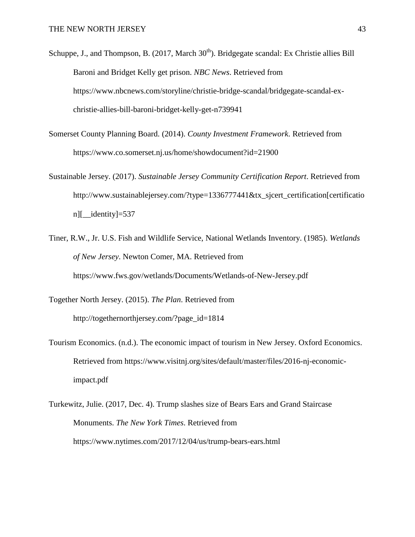- Schuppe, J., and Thompson, B.  $(2017, March 30<sup>th</sup>)$ . Bridgegate scandal: Ex Christie allies Bill Baroni and Bridget Kelly get prison. *NBC News*. Retrieved from https://www.nbcnews.com/storyline/christie-bridge-scandal/bridgegate-scandal-exchristie-allies-bill-baroni-bridget-kelly-get-n739941
- Somerset County Planning Board. (2014). *County Investment Framework*. Retrieved from https://www.co.somerset.nj.us/home/showdocument?id=21900
- Sustainable Jersey. (2017). *Sustainable Jersey Community Certification Report*. Retrieved from http://www.sustainablejersey.com/?type=1336777441&tx\_sjcert\_certification[certificatio n][\_\_identity]=537
- Tiner, R.W., Jr. U.S. Fish and Wildlife Service, National Wetlands Inventory. (1985). *Wetlands of New Jersey*. Newton Comer, MA. Retrieved from https://www.fws.gov/wetlands/Documents/Wetlands-of-New-Jersey.pdf
- Together North Jersey. (2015). *The Plan*. Retrieved from http://togethernorthjersey.com/?page\_id=1814
- Tourism Economics. (n.d.). The economic impact of tourism in New Jersey. Oxford Economics. Retrieved from https://www.visitnj.org/sites/default/master/files/2016-nj-economicimpact.pdf
- Turkewitz, Julie. (2017, Dec. 4). Trump slashes size of Bears Ears and Grand Staircase Monuments. *The New York Times*. Retrieved from https://www.nytimes.com/2017/12/04/us/trump-bears-ears.html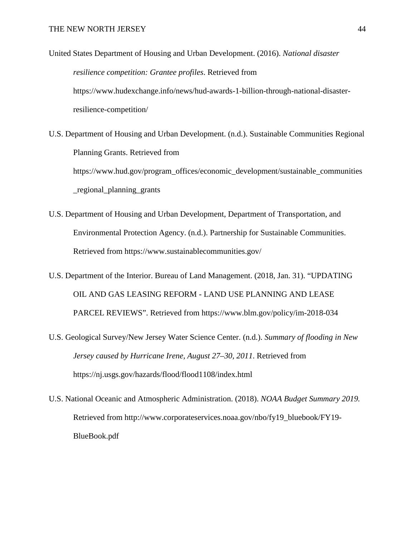- United States Department of Housing and Urban Development. (2016). *National disaster resilience competition: Grantee profiles*. Retrieved from https://www.hudexchange.info/news/hud-awards-1-billion-through-national-disasterresilience-competition/
- U.S. Department of Housing and Urban Development. (n.d.). Sustainable Communities Regional Planning Grants. Retrieved from https://www.hud.gov/program\_offices/economic\_development/sustainable\_communities \_regional\_planning\_grants
- U.S. Department of Housing and Urban Development, Department of Transportation, and Environmental Protection Agency. (n.d.). Partnership for Sustainable Communities. Retrieved from https://www.sustainablecommunities.gov/
- U.S. Department of the Interior. Bureau of Land Management. (2018, Jan. 31). "UPDATING OIL AND GAS LEASING REFORM - LAND USE PLANNING AND LEASE PARCEL REVIEWS". Retrieved from https://www.blm.gov/policy/im-2018-034
- U.S. Geological Survey/New Jersey Water Science Center. (n.d.). *Summary of flooding in New Jersey caused by Hurricane Irene, August 27–30, 2011*. Retrieved from https://nj.usgs.gov/hazards/flood/flood1108/index.html
- U.S. National Oceanic and Atmospheric Administration. (2018). *NOAA Budget Summary 2019.*  Retrieved from http://www.corporateservices.noaa.gov/nbo/fy19\_bluebook/FY19- BlueBook.pdf